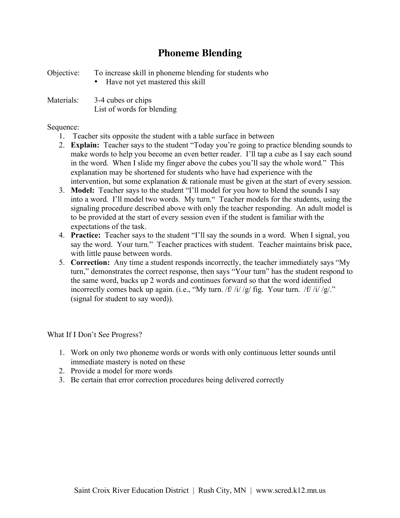## **Phoneme Blending**

Objective: To increase skill in phoneme blending for students who Have not yet mastered this skill

Materials:  $3-4$  cubes or chips List of words for blending

## Sequence:

- 1. Teacher sits opposite the student with a table surface in between
- 2. **Explain:** Teacher says to the student "Today you're going to practice blending sounds to make words to help you become an even better reader. I'll tap a cube as I say each sound in the word. When I slide my finger above the cubes you'll say the whole word." This explanation may be shortened for students who have had experience with the intervention, but some explanation & rationale must be given at the start of every session.
- 3. **Model:** Teacher says to the student "I'll model for you how to blend the sounds I say into a word. I'll model two words. My turn." Teacher models for the students, using the signaling procedure described above with only the teacher responding. An adult model is to be provided at the start of every session even if the student is familiar with the expectations of the task.
- 4. **Practice:** Teacher says to the student "I'll say the sounds in a word. When I signal, you say the word. Your turn." Teacher practices with student. Teacher maintains brisk pace, with little pause between words.
- 5. **Correction:** Any time a student responds incorrectly, the teacher immediately says "My turn," demonstrates the correct response, then says "Your turn" has the student respond to the same word, backs up 2 words and continues forward so that the word identified incorrectly comes back up again. (i.e., "My turn. /f/ /i/ /g/ fig. Your turn. /f/ /i/ /g/." (signal for student to say word)).

What If I Don't See Progress?

- 1. Work on only two phoneme words or words with only continuous letter sounds until immediate mastery is noted on these
- 2. Provide a model for more words
- 3. Be certain that error correction procedures being delivered correctly